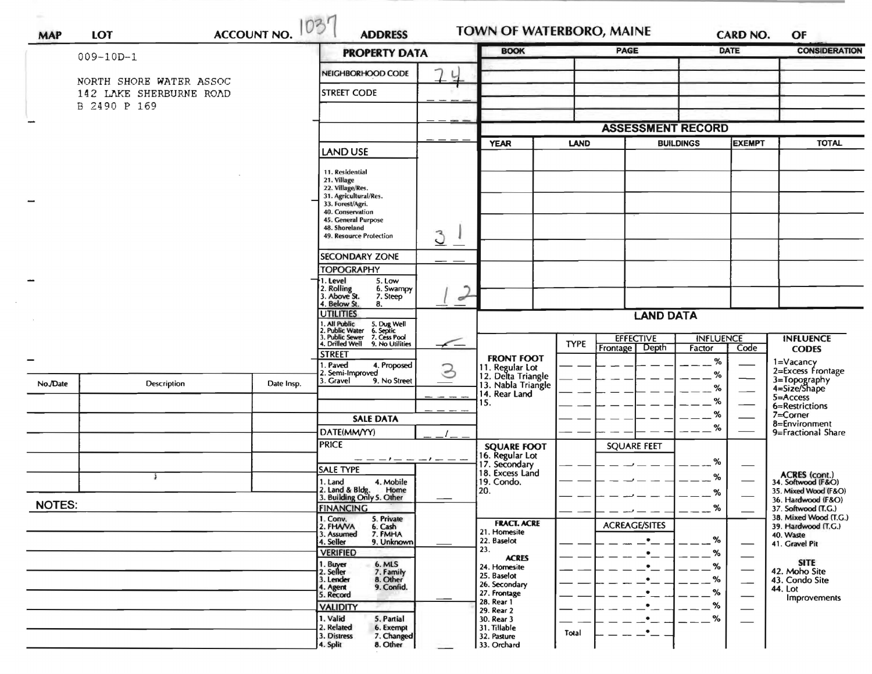| <b>MAP</b>    | <b>ACCOUNT NO.</b><br>LOT |  |            | <b>ADDRESS</b>                                                                                  |                | <b>BOOK</b>                                                                  |                          | <b>PAGE</b>                           | <b>CARD NO.</b><br><b>DATE</b> |                                 | OF<br><b>CONSIDERATION</b>                                        |
|---------------|---------------------------|--|------------|-------------------------------------------------------------------------------------------------|----------------|------------------------------------------------------------------------------|--------------------------|---------------------------------------|--------------------------------|---------------------------------|-------------------------------------------------------------------|
|               | $009 - 10D - 1$           |  |            | <b>PROPERTY DATA</b>                                                                            |                |                                                                              |                          |                                       |                                |                                 |                                                                   |
|               | NORTH SHORE WATER ASSOC   |  |            | NEIGHBORHOOD CODE                                                                               | L              |                                                                              |                          |                                       |                                |                                 |                                                                   |
|               | 142 LAKE SHERBURNE ROAD   |  |            | <b>STREET CODE</b>                                                                              |                |                                                                              |                          |                                       |                                |                                 |                                                                   |
|               | B 2490 P 169              |  |            |                                                                                                 |                |                                                                              |                          |                                       |                                |                                 |                                                                   |
|               |                           |  |            |                                                                                                 |                |                                                                              | <b>ASSESSMENT RECORD</b> |                                       |                                |                                 |                                                                   |
|               |                           |  |            |                                                                                                 |                | <b>YEAR</b>                                                                  | LAND                     | <b>EXEMPT</b><br><b>BUILDINGS</b>     |                                |                                 | TOTAL                                                             |
|               |                           |  |            | <b>LAND USE</b>                                                                                 |                |                                                                              |                          |                                       |                                |                                 |                                                                   |
|               |                           |  |            | 11. Residential                                                                                 |                |                                                                              |                          |                                       |                                |                                 |                                                                   |
|               |                           |  |            | 21. Village<br>22. Village/Res.                                                                 |                |                                                                              |                          |                                       |                                |                                 |                                                                   |
|               |                           |  |            | 31. Agricultural/Res.<br>33. Forest/Agri.                                                       |                |                                                                              |                          |                                       |                                |                                 |                                                                   |
|               |                           |  |            | 40. Conservation<br>45. General Purpose                                                         |                |                                                                              |                          |                                       |                                |                                 |                                                                   |
|               |                           |  |            | 48. Shoreland<br>49. Resource Protection                                                        | $\overline{3}$ |                                                                              |                          |                                       |                                |                                 |                                                                   |
|               |                           |  |            | SECONDARY ZONE                                                                                  |                |                                                                              |                          |                                       |                                |                                 |                                                                   |
|               |                           |  |            | <b>TOPOGRAPHY</b>                                                                               |                |                                                                              |                          |                                       |                                |                                 |                                                                   |
|               |                           |  |            | 1. Level<br>5. Low<br>6. Swampy                                                                 |                |                                                                              |                          |                                       |                                |                                 |                                                                   |
|               |                           |  |            | 2. Rolling<br>3. Above St.<br>7. Steep<br>4. Below St.<br>8.                                    | ᢦ              |                                                                              |                          |                                       |                                |                                 |                                                                   |
|               |                           |  |            | <b>UTILITIES</b>                                                                                |                | <b>LAND DATA</b>                                                             |                          |                                       |                                |                                 |                                                                   |
|               |                           |  |            | 1. All Public<br>2. Public Water<br>3. Public Sewer<br>5. Dug Well<br>6. Septic<br>7. Cess Pool |                |                                                                              |                          |                                       |                                |                                 |                                                                   |
|               |                           |  |            | 4. Drilled Well<br>9. No Utilities                                                              | $\sqrt{}$      |                                                                              | <b>TYPE</b>              | <b>EFFECTIVE</b><br>Depth<br>Frontage | <b>INFLUENCE</b><br>Factor     | Code                            | <b>INFLUENCE</b><br><b>CODES</b>                                  |
|               |                           |  |            | <b>STREET</b><br>I. Paved<br>4. Proposed                                                        |                | <b>FRONT FOOT</b>                                                            |                          |                                       | %                              |                                 | 1=Vacancy<br>2=Excess Frontage                                    |
| No./Date      | Description               |  | Date Insp. | 2. Semi-Improved<br>3. Gravel<br>9. No Street                                                   | 3              | 11. Regular Lot<br>12. Delta Triangle<br>13. Nabla Triangle<br>14. Rear Land |                          |                                       | %                              |                                 | 3=Topography<br>4=Size/Shape<br>$5 =$ Access                      |
|               |                           |  |            |                                                                                                 |                |                                                                              |                          |                                       | %<br>%                         |                                 |                                                                   |
|               |                           |  |            |                                                                                                 |                | 15.                                                                          |                          |                                       | %                              |                                 | 6=Restrictions<br>7=Corner<br>8=Environment<br>9=Fractional Share |
|               |                           |  |            | <b>SALE DATA</b><br>DATE(MM/YY)                                                                 |                |                                                                              |                          |                                       | %                              |                                 |                                                                   |
|               |                           |  |            | <b>PRICE</b>                                                                                    |                | <b>SQUARE FOOT</b>                                                           |                          | <b>SQUARE FEET</b>                    |                                |                                 |                                                                   |
|               |                           |  |            | — — — I — — — I — — —                                                                           |                | 16. Regular Lot<br>17. Secondary                                             |                          |                                       | %                              |                                 |                                                                   |
|               |                           |  |            | <b>SALE TYPE</b>                                                                                |                | 18. Excess Land                                                              |                          |                                       | %                              |                                 | ACRES (cont.)<br>34. Softwood (F&O)                               |
|               |                           |  |            | 4. Mobile<br>1. Land<br>2. Land & Bldg. Home<br>3. Building Only 5. Other<br>Home               |                | 19. Condo.<br>20.                                                            |                          |                                       | %                              |                                 | 35. Mixed Wood (F&O)                                              |
| <b>NOTES:</b> |                           |  |            | <b>FINANCING</b>                                                                                |                |                                                                              |                          |                                       | $\alpha$<br>70<br>----         |                                 | 36. Hardwood (F&O)<br>37. Softwood (T.G.)                         |
|               |                           |  |            | 1. Conv.<br>5. Private<br>2. FHAVA<br>6. Cash                                                   |                | <b>FRACT. ACRE</b>                                                           |                          | <b>ACREAGE/SITES</b>                  |                                |                                 | 38. Mixed Wood (T.G.)<br>39. Hardwood (T.G.)                      |
|               |                           |  |            | 7. FMHA<br>3. Assumed<br>9. Unknown<br>4. Seller                                                |                | 21. Homesite<br>22. Baselot                                                  |                          | $\bullet$                             | %                              | $\hspace{0.1mm}-\hspace{0.1mm}$ | 40. Waste<br>41. Gravel Pit                                       |
|               |                           |  |            | <b>VERIFIED</b>                                                                                 |                | 23.<br><b>ACRES</b>                                                          |                          | $\bullet$                             | %                              | $\overbrace{\phantom{aaaaa}}$   |                                                                   |
|               |                           |  |            | 6. MLS<br>7. Family<br>1. Buyer<br>2. Seller                                                    |                | 24. Homesite<br>25. Baselot                                                  |                          | $\bullet$                             | %                              | $\overbrace{\qquad \qquad }^{}$ | <b>SITE</b><br>42. Moho Site                                      |
|               |                           |  |            | 8. Other<br>3. Lender<br>9. Confid.                                                             |                | 26. Secondary                                                                |                          | $\bullet$                             | %                              | $\hspace{0.05cm}$               | 43. Condo Site<br>44. Lot                                         |
|               |                           |  |            | 4. Agent<br>5. Record<br><b>VALIDITY</b>                                                        |                | 27. Frontage<br>28. Rear 1                                                   |                          | $\bullet$<br>$\bullet$                | %<br>%                         | $\overbrace{\qquad \qquad }^{}$ | Improvements                                                      |
|               |                           |  |            | 1. Valid<br>5. Partial                                                                          |                | 29. Rear 2<br>30. Rear 3                                                     |                          | $\bullet$                             | %                              |                                 |                                                                   |
|               |                           |  |            | 2. Related<br>6. Exempt<br>7. Changed<br>3. Distress                                            |                | 31. Tillable<br>32. Pasture                                                  | Total                    | $\cdot$                               |                                |                                 |                                                                   |
|               |                           |  |            | 8. Other<br>4. Split                                                                            |                | 33. Orchard                                                                  |                          |                                       |                                |                                 |                                                                   |